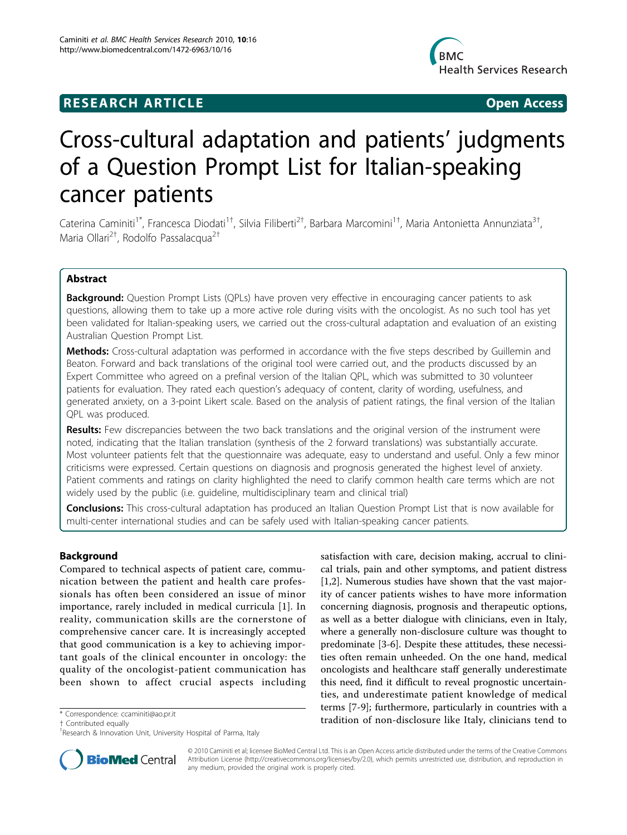



# Cross-cultural adaptation and patients' judgments of a Question Prompt List for Italian-speaking cancer patients

Caterina Caminiti<sup>1\*</sup>, Francesca Diodati<sup>1†</sup>, Silvia Filiberti<sup>2†</sup>, Barbara Marcomini<sup>1†</sup>, Maria Antonietta Annunziata<sup>3†</sup> , Maria Ollari<sup>2†</sup>, Rodolfo Passalacqua<sup>2†</sup>

# Abstract

**Background:** Question Prompt Lists (QPLs) have proven very effective in encouraging cancer patients to ask questions, allowing them to take up a more active role during visits with the oncologist. As no such tool has yet been validated for Italian-speaking users, we carried out the cross-cultural adaptation and evaluation of an existing Australian Question Prompt List.

Methods: Cross-cultural adaptation was performed in accordance with the five steps described by Guillemin and Beaton. Forward and back translations of the original tool were carried out, and the products discussed by an Expert Committee who agreed on a prefinal version of the Italian QPL, which was submitted to 30 volunteer patients for evaluation. They rated each question's adequacy of content, clarity of wording, usefulness, and generated anxiety, on a 3-point Likert scale. Based on the analysis of patient ratings, the final version of the Italian QPL was produced.

Results: Few discrepancies between the two back translations and the original version of the instrument were noted, indicating that the Italian translation (synthesis of the 2 forward translations) was substantially accurate. Most volunteer patients felt that the questionnaire was adequate, easy to understand and useful. Only a few minor criticisms were expressed. Certain questions on diagnosis and prognosis generated the highest level of anxiety. Patient comments and ratings on clarity highlighted the need to clarify common health care terms which are not widely used by the public (i.e. guideline, multidisciplinary team and clinical trial)

Conclusions: This cross-cultural adaptation has produced an Italian Question Prompt List that is now available for multi-center international studies and can be safely used with Italian-speaking cancer patients.

# Background

Compared to technical aspects of patient care, communication between the patient and health care professionals has often been considered an issue of minor importance, rarely included in medical curricula [[1\]](#page-7-0). In reality, communication skills are the cornerstone of comprehensive cancer care. It is increasingly accepted that good communication is a key to achieving important goals of the clinical encounter in oncology: the quality of the oncologist-patient communication has been shown to affect crucial aspects including

satisfaction with care, decision making, accrual to clinical trials, pain and other symptoms, and patient distress [[1,2\]](#page-7-0). Numerous studies have shown that the vast majority of cancer patients wishes to have more information concerning diagnosis, prognosis and therapeutic options, as well as a better dialogue with clinicians, even in Italy, where a generally non-disclosure culture was thought to predominate [\[3](#page-7-0)-[6\]](#page-7-0). Despite these attitudes, these necessities often remain unheeded. On the one hand, medical oncologists and healthcare staff generally underestimate this need, find it difficult to reveal prognostic uncertainties, and underestimate patient knowledge of medical terms [\[7](#page-7-0)-[9\]](#page-7-0); furthermore, particularly in countries with a tradition of non-disclosure like Italy, clinicians tend to \* Correspondence: [ccaminiti@ao.pr.it](mailto:ccaminiti@ao.pr.it)



© 2010 Caminiti et al; licensee BioMed Central Ltd. This is an Open Access article distributed under the terms of the Creative Commons Attribution License [\(http://creativecommons.org/licenses/by/2.0](http://creativecommons.org/licenses/by/2.0)), which permits unrestricted use, distribution, and reproduction in any medium, provided the original work is properly cited.

<sup>†</sup> Contributed equally <sup>1</sup>

<sup>&</sup>lt;sup>1</sup>Research & Innovation Unit, University Hospital of Parma, Italy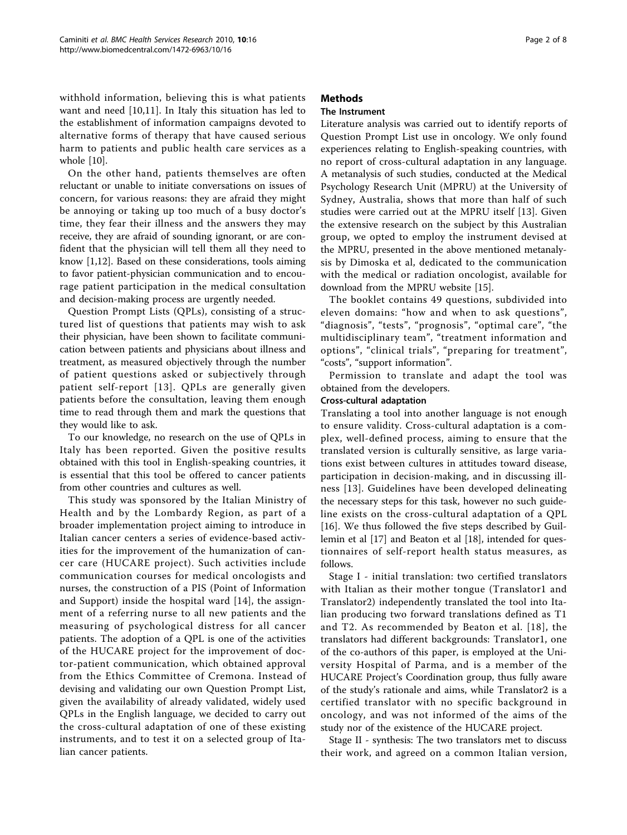withhold information, believing this is what patients want and need [[10](#page-7-0),[11\]](#page-7-0). In Italy this situation has led to the establishment of information campaigns devoted to alternative forms of therapy that have caused serious harm to patients and public health care services as a whole [\[10\]](#page-7-0).

On the other hand, patients themselves are often reluctant or unable to initiate conversations on issues of concern, for various reasons: they are afraid they might be annoying or taking up too much of a busy doctor's time, they fear their illness and the answers they may receive, they are afraid of sounding ignorant, or are confident that the physician will tell them all they need to know [\[1,12](#page-7-0)]. Based on these considerations, tools aiming to favor patient-physician communication and to encourage patient participation in the medical consultation and decision-making process are urgently needed.

Question Prompt Lists (QPLs), consisting of a structured list of questions that patients may wish to ask their physician, have been shown to facilitate communication between patients and physicians about illness and treatment, as measured objectively through the number of patient questions asked or subjectively through patient self-report [[13\]](#page-7-0). QPLs are generally given patients before the consultation, leaving them enough time to read through them and mark the questions that they would like to ask.

To our knowledge, no research on the use of QPLs in Italy has been reported. Given the positive results obtained with this tool in English-speaking countries, it is essential that this tool be offered to cancer patients from other countries and cultures as well.

This study was sponsored by the Italian Ministry of Health and by the Lombardy Region, as part of a broader implementation project aiming to introduce in Italian cancer centers a series of evidence-based activities for the improvement of the humanization of cancer care (HUCARE project). Such activities include communication courses for medical oncologists and nurses, the construction of a PIS (Point of Information and Support) inside the hospital ward [\[14\]](#page-7-0), the assignment of a referring nurse to all new patients and the measuring of psychological distress for all cancer patients. The adoption of a QPL is one of the activities of the HUCARE project for the improvement of doctor-patient communication, which obtained approval from the Ethics Committee of Cremona. Instead of devising and validating our own Question Prompt List, given the availability of already validated, widely used QPLs in the English language, we decided to carry out the cross-cultural adaptation of one of these existing instruments, and to test it on a selected group of Italian cancer patients.

## Methods

## The Instrument

Literature analysis was carried out to identify reports of Question Prompt List use in oncology. We only found experiences relating to English-speaking countries, with no report of cross-cultural adaptation in any language. A metanalysis of such studies, conducted at the Medical Psychology Research Unit (MPRU) at the University of Sydney, Australia, shows that more than half of such studies were carried out at the MPRU itself [\[13](#page-7-0)]. Given the extensive research on the subject by this Australian group, we opted to employ the instrument devised at the MPRU, presented in the above mentioned metanalysis by Dimoska et al, dedicated to the communication with the medical or radiation oncologist, available for download from the MPRU website [\[15\]](#page-7-0).

The booklet contains 49 questions, subdivided into eleven domains: "how and when to ask questions", "diagnosis", "tests", "prognosis", "optimal care", "the multidisciplinary team", "treatment information and options", "clinical trials", "preparing for treatment", "costs", "support information".

Permission to translate and adapt the tool was obtained from the developers.

## Cross-cultural adaptation

Translating a tool into another language is not enough to ensure validity. Cross-cultural adaptation is a complex, well-defined process, aiming to ensure that the translated version is culturally sensitive, as large variations exist between cultures in attitudes toward disease, participation in decision-making, and in discussing illness [[13](#page-7-0)]. Guidelines have been developed delineating the necessary steps for this task, however no such guideline exists on the cross-cultural adaptation of a QPL [[16\]](#page-7-0). We thus followed the five steps described by Guillemin et al [[17\]](#page-7-0) and Beaton et al [[18](#page-7-0)], intended for questionnaires of self-report health status measures, as follows.

Stage I - initial translation: two certified translators with Italian as their mother tongue (Translator1 and Translator2) independently translated the tool into Italian producing two forward translations defined as T1 and T2. As recommended by Beaton et al. [[18\]](#page-7-0), the translators had different backgrounds: Translator1, one of the co-authors of this paper, is employed at the University Hospital of Parma, and is a member of the HUCARE Project's Coordination group, thus fully aware of the study's rationale and aims, while Translator2 is a certified translator with no specific background in oncology, and was not informed of the aims of the study nor of the existence of the HUCARE project.

Stage II - synthesis: The two translators met to discuss their work, and agreed on a common Italian version,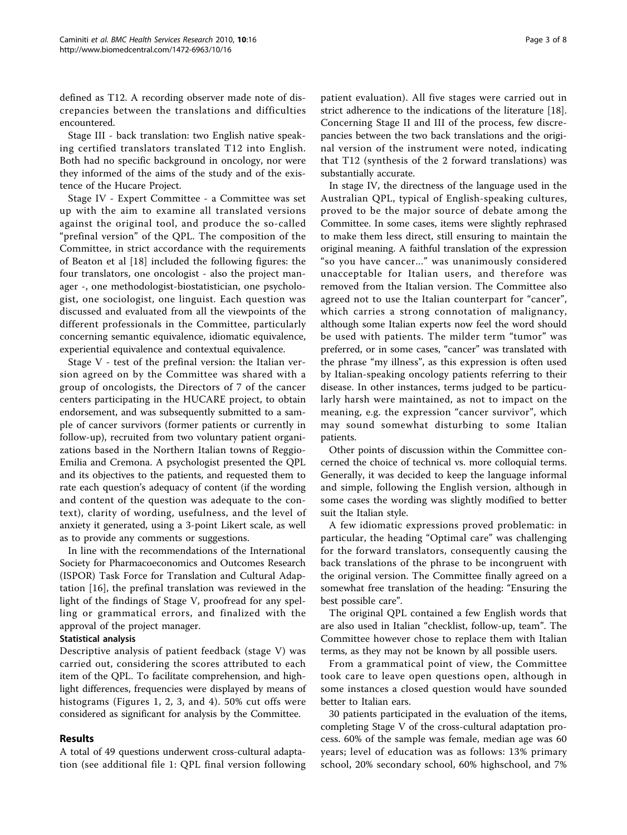defined as T12. A recording observer made note of discrepancies between the translations and difficulties encountered.

Stage III - back translation: two English native speaking certified translators translated T12 into English. Both had no specific background in oncology, nor were they informed of the aims of the study and of the existence of the Hucare Project.

Stage IV - Expert Committee - a Committee was set up with the aim to examine all translated versions against the original tool, and produce the so-called "prefinal version" of the QPL. The composition of the Committee, in strict accordance with the requirements of Beaton et al [[18\]](#page-7-0) included the following figures: the four translators, one oncologist - also the project manager -, one methodologist-biostatistician, one psychologist, one sociologist, one linguist. Each question was discussed and evaluated from all the viewpoints of the different professionals in the Committee, particularly concerning semantic equivalence, idiomatic equivalence, experiential equivalence and contextual equivalence.

Stage V - test of the prefinal version: the Italian version agreed on by the Committee was shared with a group of oncologists, the Directors of 7 of the cancer centers participating in the HUCARE project, to obtain endorsement, and was subsequently submitted to a sample of cancer survivors (former patients or currently in follow-up), recruited from two voluntary patient organizations based in the Northern Italian towns of Reggio-Emilia and Cremona. A psychologist presented the QPL and its objectives to the patients, and requested them to rate each question's adequacy of content (if the wording and content of the question was adequate to the context), clarity of wording, usefulness, and the level of anxiety it generated, using a 3-point Likert scale, as well as to provide any comments or suggestions.

In line with the recommendations of the International Society for Pharmacoeconomics and Outcomes Research (ISPOR) Task Force for Translation and Cultural Adaptation [[16\]](#page-7-0), the prefinal translation was reviewed in the light of the findings of Stage V, proofread for any spelling or grammatical errors, and finalized with the approval of the project manager.

### Statistical analysis

Descriptive analysis of patient feedback (stage V) was carried out, considering the scores attributed to each item of the QPL. To facilitate comprehension, and highlight differences, frequencies were displayed by means of histograms (Figures [1,](#page-3-0) [2](#page-4-0), [3](#page-5-0), and [4\)](#page-6-0). 50% cut offs were considered as significant for analysis by the Committee.

## Results

A total of 49 questions underwent cross-cultural adaptation (see additional file [1:](#page-6-0) QPL final version following patient evaluation). All five stages were carried out in strict adherence to the indications of the literature [\[18](#page-7-0)]. Concerning Stage II and III of the process, few discrepancies between the two back translations and the original version of the instrument were noted, indicating that T12 (synthesis of the 2 forward translations) was substantially accurate.

In stage IV, the directness of the language used in the Australian QPL, typical of English-speaking cultures, proved to be the major source of debate among the Committee. In some cases, items were slightly rephrased to make them less direct, still ensuring to maintain the original meaning. A faithful translation of the expression "so you have cancer..." was unanimously considered unacceptable for Italian users, and therefore was removed from the Italian version. The Committee also agreed not to use the Italian counterpart for "cancer", which carries a strong connotation of malignancy, although some Italian experts now feel the word should be used with patients. The milder term "tumor" was preferred, or in some cases, "cancer" was translated with the phrase "my illness", as this expression is often used by Italian-speaking oncology patients referring to their disease. In other instances, terms judged to be particularly harsh were maintained, as not to impact on the meaning, e.g. the expression "cancer survivor", which may sound somewhat disturbing to some Italian patients.

Other points of discussion within the Committee concerned the choice of technical vs. more colloquial terms. Generally, it was decided to keep the language informal and simple, following the English version, although in some cases the wording was slightly modified to better suit the Italian style.

A few idiomatic expressions proved problematic: in particular, the heading "Optimal care" was challenging for the forward translators, consequently causing the back translations of the phrase to be incongruent with the original version. The Committee finally agreed on a somewhat free translation of the heading: "Ensuring the best possible care".

The original QPL contained a few English words that are also used in Italian "checklist, follow-up, team". The Committee however chose to replace them with Italian terms, as they may not be known by all possible users.

From a grammatical point of view, the Committee took care to leave open questions open, although in some instances a closed question would have sounded better to Italian ears.

30 patients participated in the evaluation of the items, completing Stage V of the cross-cultural adaptation process. 60% of the sample was female, median age was 60 years; level of education was as follows: 13% primary school, 20% secondary school, 60% highschool, and 7%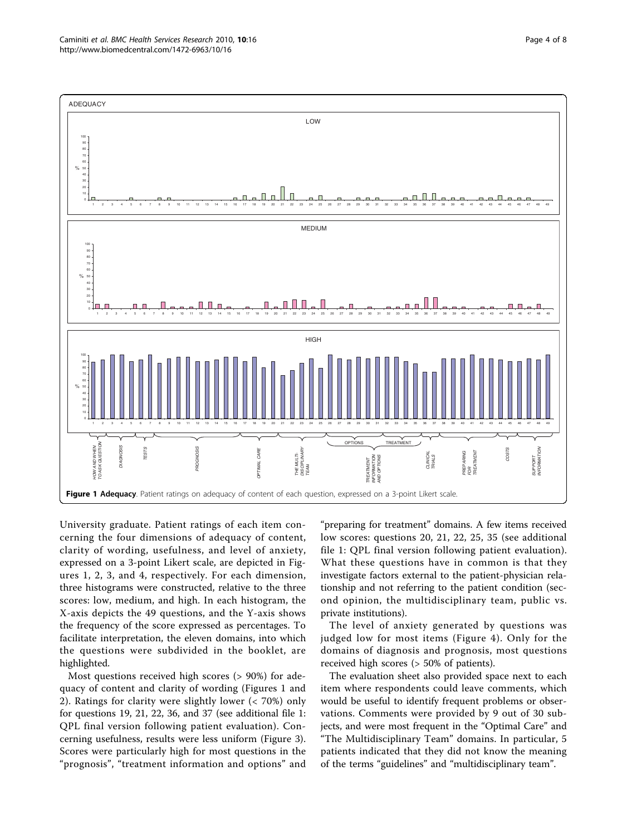<span id="page-3-0"></span>

University graduate. Patient ratings of each item concerning the four dimensions of adequacy of content, clarity of wording, usefulness, and level of anxiety, expressed on a 3-point Likert scale, are depicted in Figures 1, [2](#page-4-0), [3,](#page-5-0) and [4,](#page-6-0) respectively. For each dimension, three histograms were constructed, relative to the three scores: low, medium, and high. In each histogram, the X-axis depicts the 49 questions, and the Y-axis shows the frequency of the score expressed as percentages. To facilitate interpretation, the eleven domains, into which the questions were subdivided in the booklet, are highlighted.

Most questions received high scores (> 90%) for adequacy of content and clarity of wording (Figures 1 and [2\)](#page-4-0). Ratings for clarity were slightly lower (< 70%) only for questions 19, 21, 22, 36, and 37 (see additional file [1](#page-6-0): QPL final version following patient evaluation). Concerning usefulness, results were less uniform (Figure [3](#page-5-0)). Scores were particularly high for most questions in the "prognosis", "treatment information and options" and

"preparing for treatment" domains. A few items received low scores: questions 20, 21, 22, 25, 35 (see additional file [1:](#page-6-0) QPL final version following patient evaluation). What these questions have in common is that they investigate factors external to the patient-physician relationship and not referring to the patient condition (second opinion, the multidisciplinary team, public vs. private institutions).

The level of anxiety generated by questions was judged low for most items (Figure [4\)](#page-6-0). Only for the domains of diagnosis and prognosis, most questions received high scores (> 50% of patients).

The evaluation sheet also provided space next to each item where respondents could leave comments, which would be useful to identify frequent problems or observations. Comments were provided by 9 out of 30 subjects, and were most frequent in the "Optimal Care" and "The Multidisciplinary Team" domains. In particular, 5 patients indicated that they did not know the meaning of the terms "guidelines" and "multidisciplinary team".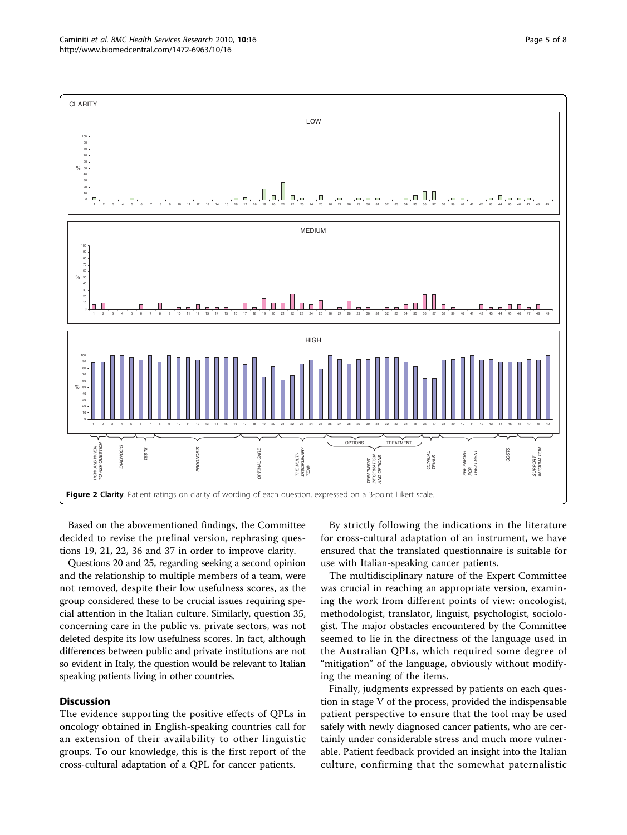<span id="page-4-0"></span>

Based on the abovementioned findings, the Committee decided to revise the prefinal version, rephrasing questions 19, 21, 22, 36 and 37 in order to improve clarity.

Questions 20 and 25, regarding seeking a second opinion and the relationship to multiple members of a team, were not removed, despite their low usefulness scores, as the group considered these to be crucial issues requiring special attention in the Italian culture. Similarly, question 35, concerning care in the public vs. private sectors, was not deleted despite its low usefulness scores. In fact, although differences between public and private institutions are not so evident in Italy, the question would be relevant to Italian speaking patients living in other countries.

## **Discussion**

The evidence supporting the positive effects of QPLs in oncology obtained in English-speaking countries call for an extension of their availability to other linguistic groups. To our knowledge, this is the first report of the cross-cultural adaptation of a QPL for cancer patients.

By strictly following the indications in the literature for cross-cultural adaptation of an instrument, we have ensured that the translated questionnaire is suitable for use with Italian-speaking cancer patients.

The multidisciplinary nature of the Expert Committee was crucial in reaching an appropriate version, examining the work from different points of view: oncologist, methodologist, translator, linguist, psychologist, sociologist. The major obstacles encountered by the Committee seemed to lie in the directness of the language used in the Australian QPLs, which required some degree of "mitigation" of the language, obviously without modifying the meaning of the items.

Finally, judgments expressed by patients on each question in stage V of the process, provided the indispensable patient perspective to ensure that the tool may be used safely with newly diagnosed cancer patients, who are certainly under considerable stress and much more vulnerable. Patient feedback provided an insight into the Italian culture, confirming that the somewhat paternalistic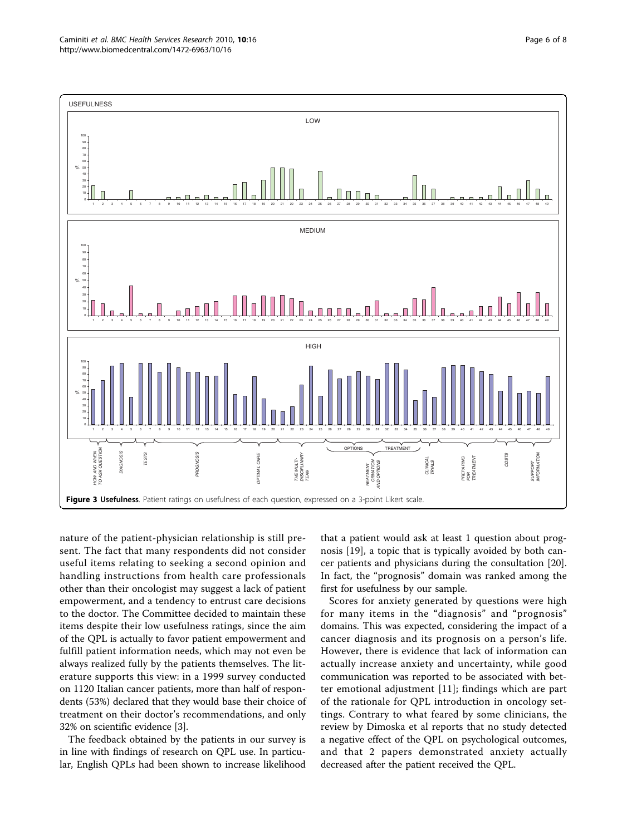<span id="page-5-0"></span>

nature of the patient-physician relationship is still present. The fact that many respondents did not consider useful items relating to seeking a second opinion and handling instructions from health care professionals other than their oncologist may suggest a lack of patient empowerment, and a tendency to entrust care decisions to the doctor. The Committee decided to maintain these items despite their low usefulness ratings, since the aim of the QPL is actually to favor patient empowerment and fulfill patient information needs, which may not even be always realized fully by the patients themselves. The literature supports this view: in a 1999 survey conducted on 1120 Italian cancer patients, more than half of respondents (53%) declared that they would base their choice of treatment on their doctor's recommendations, and only 32% on scientific evidence [[3\]](#page-7-0).

The feedback obtained by the patients in our survey is in line with findings of research on QPL use. In particular, English QPLs had been shown to increase likelihood

that a patient would ask at least 1 question about prognosis [\[19](#page-7-0)], a topic that is typically avoided by both cancer patients and physicians during the consultation [\[20](#page-7-0)]. In fact, the "prognosis" domain was ranked among the first for usefulness by our sample.

Scores for anxiety generated by questions were high for many items in the "diagnosis" and "prognosis" domains. This was expected, considering the impact of a cancer diagnosis and its prognosis on a person's life. However, there is evidence that lack of information can actually increase anxiety and uncertainty, while good communication was reported to be associated with better emotional adjustment [[11\]](#page-7-0); findings which are part of the rationale for QPL introduction in oncology settings. Contrary to what feared by some clinicians, the review by Dimoska et al reports that no study detected a negative effect of the QPL on psychological outcomes, and that 2 papers demonstrated anxiety actually decreased after the patient received the QPL.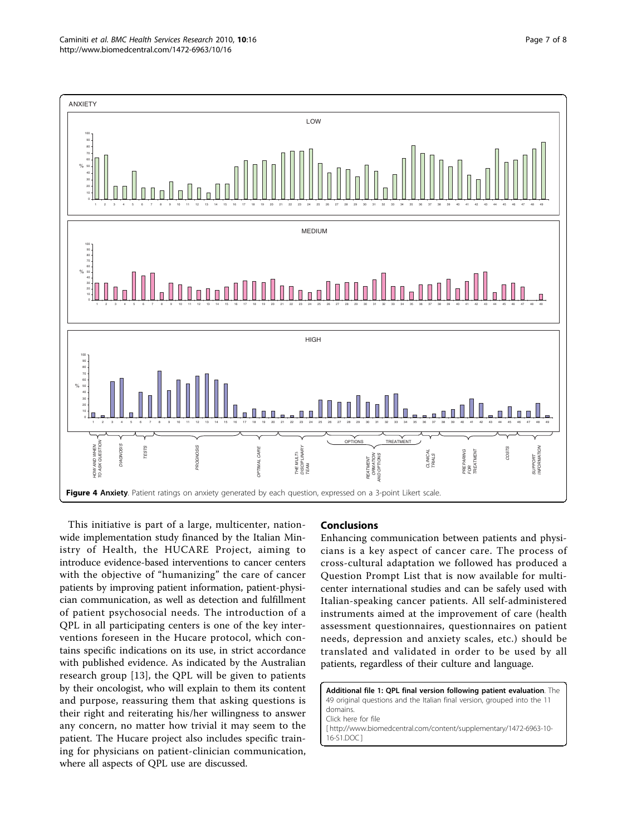<span id="page-6-0"></span>

This initiative is part of a large, multicenter, nationwide implementation study financed by the Italian Ministry of Health, the HUCARE Project, aiming to introduce evidence-based interventions to cancer centers with the objective of "humanizing" the care of cancer patients by improving patient information, patient-physician communication, as well as detection and fulfillment of patient psychosocial needs. The introduction of a QPL in all participating centers is one of the key interventions foreseen in the Hucare protocol, which contains specific indications on its use, in strict accordance with published evidence. As indicated by the Australian research group [[13\]](#page-7-0), the QPL will be given to patients by their oncologist, who will explain to them its content and purpose, reassuring them that asking questions is their right and reiterating his/her willingness to answer any concern, no matter how trivial it may seem to the patient. The Hucare project also includes specific training for physicians on patient-clinician communication, where all aspects of QPL use are discussed.

## Conclusions

Enhancing communication between patients and physicians is a key aspect of cancer care. The process of cross-cultural adaptation we followed has produced a Question Prompt List that is now available for multicenter international studies and can be safely used with Italian-speaking cancer patients. All self-administered instruments aimed at the improvement of care (health assessment questionnaires, questionnaires on patient needs, depression and anxiety scales, etc.) should be translated and validated in order to be used by all patients, regardless of their culture and language.

Additional file 1: QPL final version following patient evaluation. The 49 original questions and the Italian final version, grouped into the 11 domains. Click here for file [ http://www.biomedcentral.com/content/supplementary/1472-6963-10- 16-S1.DOC ]